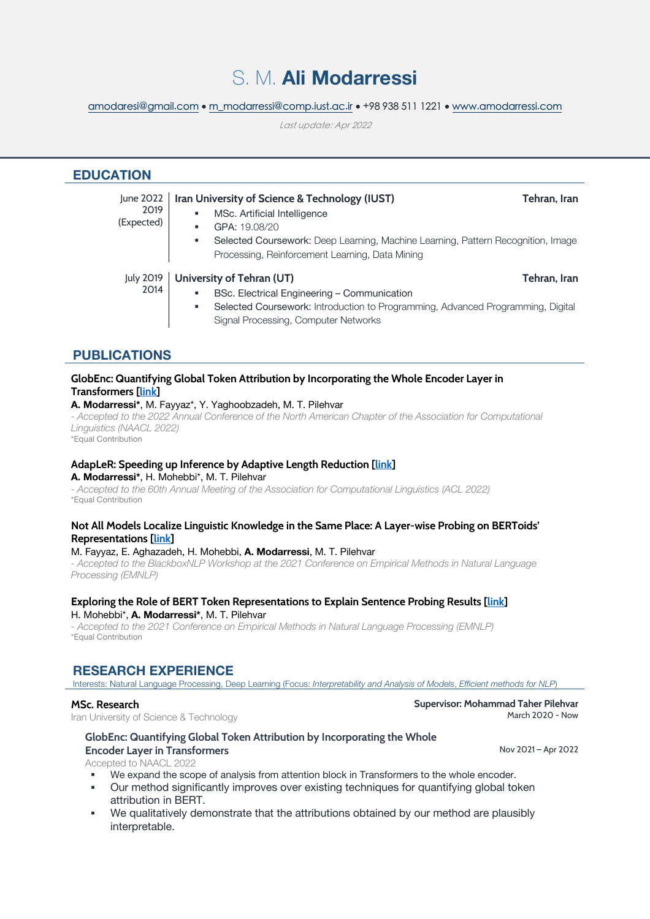# S. M. **Ali Modarressi**

amodaresi@gmail.com • m\_modarressi@comp.iust.ac.ir • +98 938 511 1221 • www.amodarressi.com

Last update: Apr 2022

| <b>EDUCATION</b>                |                                                                                                                                                                                                                                                  |              |
|---------------------------------|--------------------------------------------------------------------------------------------------------------------------------------------------------------------------------------------------------------------------------------------------|--------------|
| June 2022<br>2019<br>(Expected) | Iran University of Science & Technology (IUST)<br>MSc. Artificial Intelligence<br>٠<br>GPA: 19.08/20<br>Selected Coursework: Deep Learning, Machine Learning, Pattern Recognition, Image<br>٠<br>Processing, Reinforcement Learning, Data Mining | Tehran, Iran |
| <b>July 2019</b><br>2014        | University of Tehran (UT)<br>BSc. Electrical Engineering - Communication<br>٠<br>Selected Coursework: Introduction to Programming, Advanced Programming, Digital<br>٠<br>Signal Processing, Computer Networks                                    | Tehran, Iran |

## **PUBLICATIONS**

## **GlobEnc: Quantifying Global Token Attribution by Incorporating the Whole Encoder Layer in Transformers [\[link](https://arxiv.org/pdf/2205.03286.pdf)]**

**A. Modarressi\***, M. Fayyaz\*, Y. Yaghoobzadeh, M. T. Pilehvar

*- Accepted to the 2022 Annual Conference of the North American Chapter of the Association for Computational Linguistics (NAACL 2022)*

\*Equal Contribution

## **AdapLeR: Speeding up Inference by Adaptive Length Reduction [[link\]](https://arxiv.org/pdf/2203.08991.pdf)**

**A. Modarressi\***, H. Mohebbi\*, M. T. Pilehvar

*- Accepted to the 60th Annual Meeting of the Association for Computational Linguistics (ACL 2022)* \*Equal Contribution

#### **Not All Models Localize Linguistic Knowledge in the Same Place: A Layer-wise Probing on BERToids' Representations [[link](https://aclanthology.org/2021.blackboxnlp-1.29/)]**

#### M. Fayyaz, E. Aghazadeh, H. Mohebbi, **A. Modarressi**, M. T. Pilehvar

*- Accepted to the BlackboxNLP Workshop at the 2021 Conference on Empirical Methods in Natural Language Processing (EMNLP)*

#### **Exploring the Role of BERT Token Representations to Explain Sentence Probing Results [\[link](https://aclanthology.org/2021.emnlp-main.61/)]** H. Mohebbi\*, **A. Modarressi\***, M. T. Pilehvar

*- Accepted to the 2021 Conference on Empirical Methods in Natural Language Processing (EMNLP)* \*Equal Contribution

## **RESEARCH EXPERIENCE**

Interests: Natural Language Processing, Deep Learning (Focus: *Interpretability and Analysis of Models*, *Efficient methods for NLP*)

#### **MSc. Research**

Iran University of Science & Technology

## **GlobEnc: Quantifying Global Token Attribution by Incorporating the Whole Encoder Layer in Transformers**

Accepted to NAACL 2022

- We expand the scope of analysis from attention block in Transformers to the whole encoder.
- § Our method significantly improves over existing techniques for quantifying global token attribution in BERT.
- § We qualitatively demonstrate that the attributions obtained by our method are plausibly interpretable.

Nov 2021 – Apr 2022

March 2020 - Now

**Supervisor: Mohammad Taher Pilehvar**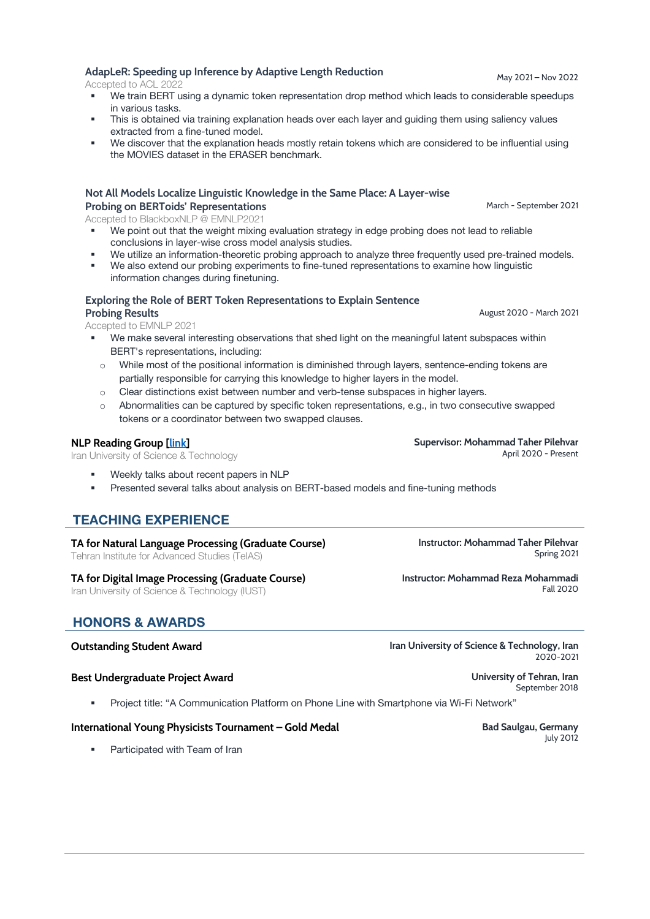- 
- We train BERT using a dynamic token representation drop method which leads to considerable speedups in various tasks.
- This is obtained via training explanation heads over each layer and quiding them using saliency values extracted from a fine-tuned model.
- We discover that the explanation heads mostly retain tokens which are considered to be influential using the MOVIES dataset in the ERASER benchmark.

### **Not All Models Localize Linguistic Knowledge in the Same Place: A Layer-wise Probing on BERToids' Representations**

Accepted to BlackboxNLP @ EMNLP2021

- We point out that the weight mixing evaluation strategy in edge probing does not lead to reliable conclusions in layer-wise cross model analysis studies.
- We utilize an information-theoretic probing approach to analyze three frequently used pre-trained models.
- We also extend our probing experiments to fine-tuned representations to examine how linguistic information changes during finetuning.

#### **Exploring the Role of BERT Token Representations to Explain Sentence Probing Results**

Accepted to EMNLP 2021

- We make several interesting observations that shed light on the meaningful latent subspaces within BERT's representations, including:
- o While most of the positional information is diminished through layers, sentence-ending tokens are partially responsible for carrying this knowledge to higher layers in the model.
- o Clear distinctions exist between number and verb-tense subspaces in higher layers.
- $\circ$  Abnormalities can be captured by specific token representations, e.g., in two consecutive swapped tokens or a coordinator between two swapped clauses.

## **NLP Reading Group [\[link](https://pilehvar.github.io/reading-group/)]**

Iran University of Science & Technology

- Weekly talks about recent papers in NLP
- § Presented several talks about analysis on BERT-based models and fine-tuning methods

## **TEACHING EXPERIENCE**

**TA for Natural Language Processing (Graduate Course)**

Tehran Institute for Advanced Studies (TeIAS)

#### **TA for Digital Image Processing (Graduate Course)**

Iran University of Science & Technology (IUST)

## **HONORS & AWARDS**

#### **Outstanding Student Award Iran University of Science & Technology, Iran**

#### **Best Undergraduate Project Award University of Tehran, Iran**

§ Project title: "A Communication Platform on Phone Line with Smartphone via Wi-Fi Network"

## **International Young Physicists Tournament – Gold Medal Bad Saulgau, Germany**

• Participated with Team of Iran

**Instructor: Mohammad Taher Pilehvar** Spring 2021

**Supervisor: Mohammad Taher Pilehvar**

**Instructor: Mohammad Reza Mohammadi** Fall 2020

April 2020 - Present

2020-2021

July 2012

September 2018

March - September 2021

August 2020 - March 2021